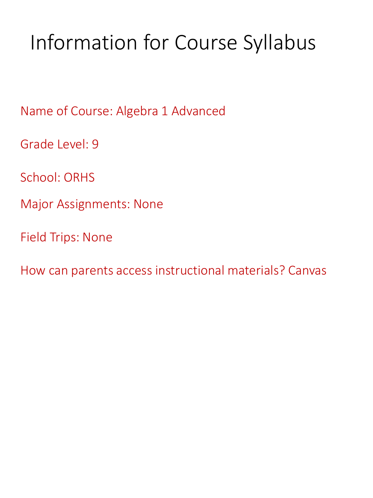# Information for Course Syllabus

Name of Course: Algebra 1 Advanced

Grade Level: 9

School: ORHS

Major Assignments: None

Field Trips: None

How can parents access instructional materials? Canvas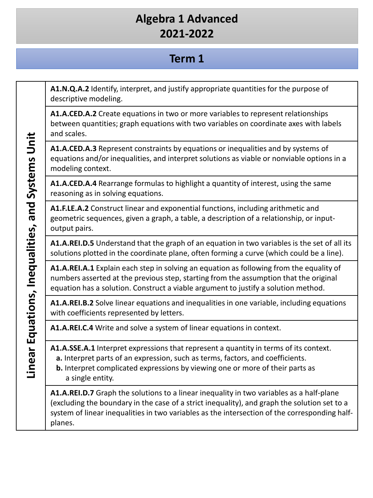#### **Term 1**

**A1.N.Q.A.2** Identify, interpret, and justify appropriate quantities for the purpose of descriptive modeling.

**A1.A.CED.A.2** Create equations in two or more variables to represent relationships between quantities; graph equations with two variables on coordinate axes with labels and scales.

**A1.A.CED.A.3** Represent constraints by equations or inequalities and by systems of equations and/or inequalities, and interpret solutions as viable or nonviable options in a modeling context.

**A1.A.CED.A.4** Rearrange formulas to highlight a quantity of interest, using the same reasoning as in solving equations.

**A1.F.LE.A.2** Construct linear and exponential functions, including arithmetic and geometric sequences, given a graph, a table, a description of a relationship, or inputoutput pairs.

**A1.A.REI.D.5** Understand that the graph of an equation in two variables is the set of all its solutions plotted in the coordinate plane, often forming a curve (which could be a line).

**A1.A.REI.A.1** Explain each step in solving an equation as following from the equality of numbers asserted at the previous step, starting from the assumption that the original equation has a solution. Construct a viable argument to justify a solution method.

**A1.A.REI.B.2** Solve linear equations and inequalities in one variable, including equations with coefficients represented by letters.

**A1.A.REI.C.4** Write and solve a system of linear equations in context.

**A1.A.SSE.A.1** Interpret expressions that represent a quantity in terms of its context.

- **a.** Interpret parts of an expression, such as terms, factors, and coefficients.
- **b.** Interpret complicated expressions by viewing one or more of their parts as a single entity.

**A1.A.REI.D.7** Graph the solutions to a linear inequality in two variables as a half-plane (excluding the boundary in the case of a strict inequality), and graph the solution set to a system of linear inequalities in two variables as the intersection of the corresponding halfplanes.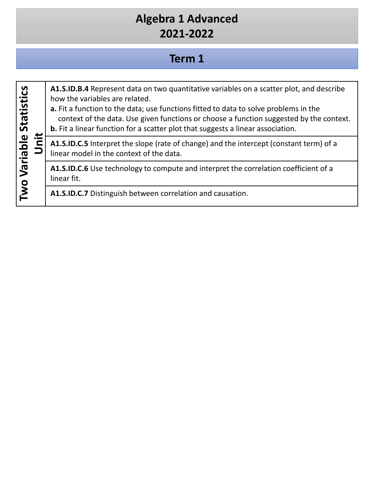## **Term 1**

| <b>Statistics</b> |  | A1.S.ID.B.4 Represent data on two quantitative variables on a scatter plot, and describe<br>how the variables are related.<br>a. Fit a function to the data; use functions fitted to data to solve problems in the<br>context of the data. Use given functions or choose a function suggested by the context.<br><b>b.</b> Fit a linear function for a scatter plot that suggests a linear association. |
|-------------------|--|---------------------------------------------------------------------------------------------------------------------------------------------------------------------------------------------------------------------------------------------------------------------------------------------------------------------------------------------------------------------------------------------------------|
|                   |  | A1.S.ID.C.5 Interpret the slope (rate of change) and the intercept (constant term) of a<br>linear model in the context of the data.                                                                                                                                                                                                                                                                     |
| Two Variable      |  | A1.S.ID.C.6 Use technology to compute and interpret the correlation coefficient of a<br>linear fit.                                                                                                                                                                                                                                                                                                     |
|                   |  | A1.S.ID.C.7 Distinguish between correlation and causation.                                                                                                                                                                                                                                                                                                                                              |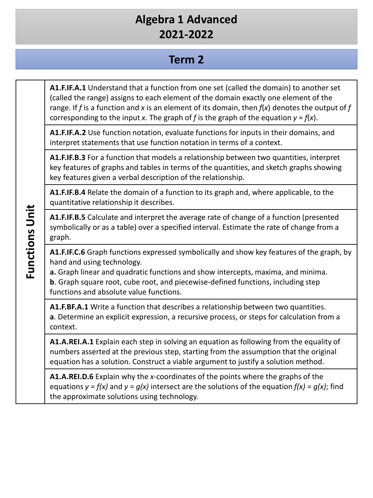#### **Term 2**

**A1.F.IF.A.1** Understand that a function from one set (called the domain) to another set (called the range) assigns to each element of the domain exactly one element of the range. If *f* is a function and *x* is an element of its domain, then *f*(*x*) denotes the output of *f*  corresponding to the input *x*. The graph of *f* is the graph of the equation  $y = f(x)$ .

**A1.F.IF.A.2** Use function notation, evaluate functions for inputs in their domains, and interpret statements that use function notation in terms of a context.

**A1.F.IF.B.3** For a function that models a relationship between two quantities, interpret key features of graphs and tables in terms of the quantities, and sketch graphs showing key features given a verbal description of the relationship.

**A1.F.IF.B.4** Relate the domain of a function to its graph and, where applicable, to the quantitative relationship it describes.

**A1.F.IF.B.5** Calculate and interpret the average rate of change of a function (presented symbolically or as a table) over a specified interval. Estimate the rate of change from a graph.

**A1.F.IF.C.6** Graph functions expressed symbolically and show key features of the graph, by hand and using technology.

**a.** Graph linear and quadratic functions and show intercepts, maxima, and minima. **b**. Graph square root, cube root, and piecewise-defined functions, including step functions and absolute value functions.

**A1.F.BF.A.1** Write a function that describes a relationship between two quantities. **a**. Determine an explicit expression, a recursive process, or steps for calculation from a context.

**A1.A.REI.A.1** Explain each step in solving an equation as following from the equality of numbers asserted at the previous step, starting from the assumption that the original equation has a solution. Construct a viable argument to justify a solution method.

**A1.A.REI.D.6** Explain why the *x*-coordinates of the points where the graphs of the equations  $y = f(x)$  and  $y = g(x)$  intersect are the solutions of the equation  $f(x) = g(x)$ ; find the approximate solutions using technology.

**Functions Unit Functions Unit**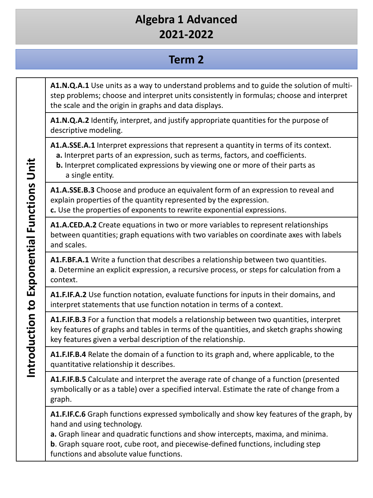### **Term 2**

**A1.N.Q.A.1** Use units as a way to understand problems and to guide the solution of multistep problems; choose and interpret units consistently in formulas; choose and interpret the scale and the origin in graphs and data displays.

**A1.N.Q.A.2** Identify, interpret, and justify appropriate quantities for the purpose of descriptive modeling.

**A1.A.SSE.A.1** Interpret expressions that represent a quantity in terms of its context.

- **a.** Interpret parts of an expression, such as terms, factors, and coefficients.
- **b.** Interpret complicated expressions by viewing one or more of their parts as a single entity.

**A1.A.SSE.B.3** Choose and produce an equivalent form of an expression to reveal and explain properties of the quantity represented by the expression.

**c.** Use the properties of exponents to rewrite exponential expressions.

**A1.A.CED.A.2** Create equations in two or more variables to represent relationships between quantities; graph equations with two variables on coordinate axes with labels and scales.

**A1.F.BF.A.1** Write a function that describes a relationship between two quantities. **a**. Determine an explicit expression, a recursive process, or steps for calculation from a context.

**A1.F.IF.A.2** Use function notation, evaluate functions for inputs in their domains, and interpret statements that use function notation in terms of a context.

**A1.F.IF.B.3** For a function that models a relationship between two quantities, interpret key features of graphs and tables in terms of the quantities, and sketch graphs showing key features given a verbal description of the relationship.

**A1.F.IF.B.4** Relate the domain of a function to its graph and, where applicable, to the quantitative relationship it describes.

**A1.F.IF.B.5** Calculate and interpret the average rate of change of a function (presented symbolically or as a table) over a specified interval. Estimate the rate of change from a graph.

**A1.F.IF.C.6** Graph functions expressed symbolically and show key features of the graph, by hand and using technology.

**a.** Graph linear and quadratic functions and show intercepts, maxima, and minima. **b**. Graph square root, cube root, and piecewise-defined functions, including step functions and absolute value functions.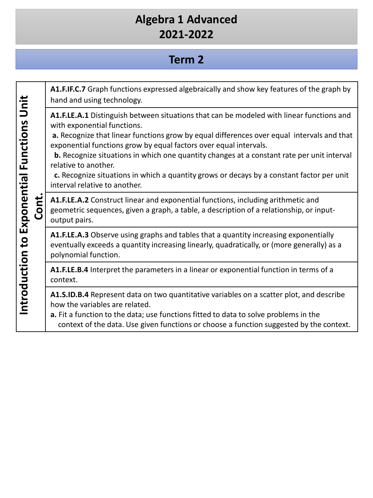#### **Term 2**

**A1.F.IF.C.7** Graph functions expressed algebraically and show key features of the graph by Introduction to Exponential Functions Unit **Introduction to Exponential Functions Unit**  hand and using technology. **A1.F.LE.A.1** Distinguish between situations that can be modeled with linear functions and with exponential functions. **a.** Recognize that linear functions grow by equal differences over equal intervals and that exponential functions grow by equal factors over equal intervals. **b.** Recognize situations in which one quantity changes at a constant rate per unit interval relative to another. **c.** Recognize situations in which a quantity grows or decays by a constant factor per unit interval relative to another. **Cont. A1.F.LE.A.2** Construct linear and exponential functions, including arithmetic and geometric sequences, given a graph, a table, a description of a relationship, or inputoutput pairs. **A1.F.LE.A.3** Observe using graphs and tables that a quantity increasing exponentially eventually exceeds a quantity increasing linearly, quadratically, or (more generally) as a polynomial function. **A1.F.LE.B.4** Interpret the parameters in a linear or exponential function in terms of a context. **A1.S.ID.B.4** Represent data on two quantitative variables on a scatter plot, and describe how the variables are related. **a.** Fit a function to the data; use functions fitted to data to solve problems in the context of the data. Use given functions or choose a function suggested by the context.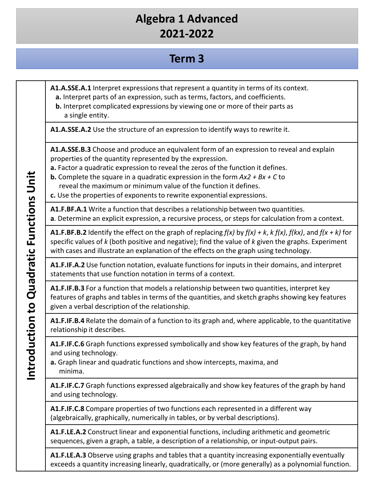#### **Term 3**

**A1.A.SSE.A.1** Interpret expressions that represent a quantity in terms of its context.

- **a.** Interpret parts of an expression, such as terms, factors, and coefficients.
- **b.** Interpret complicated expressions by viewing one or more of their parts as a single entity.

**A1.A.SSE.A.2** Use the structure of an expression to identify ways to rewrite it.

**A1.A.SSE.B.3** Choose and produce an equivalent form of an expression to reveal and explain properties of the quantity represented by the expression.

**a.** Factor a quadratic expression to reveal the zeros of the function it defines.

**b.** Complete the square in a quadratic expression in the form *Ax2 + Bx + C* to reveal the maximum or minimum value of the function it defines.

**c.** Use the properties of exponents to rewrite exponential expressions.

**A1.F.BF.A.1** Write a function that describes a relationship between two quantities. **a**. Determine an explicit expression, a recursive process, or steps for calculation from a context.

**A1.F.BF.B.2** Identify the effect on the graph of replacing *f(x)* by *f(x) + k*, *k f(x)*, *f(kx)*, and *f(x + k)* for specific values of *k* (both positive and negative); find the value of *k* given the graphs. Experiment with cases and illustrate an explanation of the effects on the graph using technology.

**A1.F.IF.A.2** Use function notation, evaluate functions for inputs in their domains, and interpret statements that use function notation in terms of a context.

**A1.F.IF.B.3** For a function that models a relationship between two quantities, interpret key features of graphs and tables in terms of the quantities, and sketch graphs showing key features given a verbal description of the relationship.

**A1.F.IF.B.4** Relate the domain of a function to its graph and, where applicable, to the quantitative relationship it describes.

**A1.F.IF.C.6** Graph functions expressed symbolically and show key features of the graph, by hand and using technology.

**a.** Graph linear and quadratic functions and show intercepts, maxima, and minima.

**A1.F.IF.C.7** Graph functions expressed algebraically and show key features of the graph by hand and using technology.

**A1.F.IF.C.8** Compare properties of two functions each represented in a different way (algebraically, graphically, numerically in tables, or by verbal descriptions).

**A1.F.LE.A.2** Construct linear and exponential functions, including arithmetic and geometric sequences, given a graph, a table, a description of a relationship, or input-output pairs.

**A1.F.LE.A.3** Observe using graphs and tables that a quantity increasing exponentially eventually exceeds a quantity increasing linearly, quadratically, or (more generally) as a polynomial function.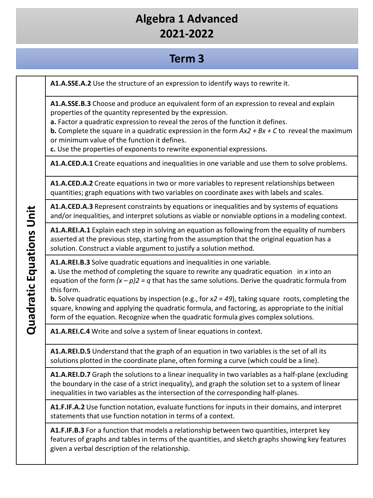#### **Term 3**

**A1.A.SSE.A.2** Use the structure of an expression to identify ways to rewrite it.

**A1.A.SSE.B.3** Choose and produce an equivalent form of an expression to reveal and explain properties of the quantity represented by the expression.

**a.** Factor a quadratic expression to reveal the zeros of the function it defines.

**b.** Complete the square in a quadratic expression in the form *Ax2 + Bx + C* to reveal the maximum or minimum value of the function it defines.

**c.** Use the properties of exponents to rewrite exponential expressions.

**A1.A.CED.A.1** Create equations and inequalities in one variable and use them to solve problems.

**A1.A.CED.A.2** Create equations in two or more variables to represent relationships between quantities; graph equations with two variables on coordinate axes with labels and scales.

**A1.A.CED.A.3** Represent constraints by equations or inequalities and by systems of equations and/or inequalities, and interpret solutions as viable or nonviable options in a modeling context.

**A1.A.REI.A.1** Explain each step in solving an equation as following from the equality of numbers asserted at the previous step, starting from the assumption that the original equation has a solution. Construct a viable argument to justify a solution method.

**A1.A.REI.B.3** Solve quadratic equations and inequalities in one variable.

**a.** Use the method of completing the square to rewrite any quadratic equation in *x* into an equation of the form *(x – p)2 = q* that has the same solutions. Derive the quadratic formula from this form.

**b.** Solve quadratic equations by inspection (e.g., for *x2 = 49*), taking square roots, completing the square, knowing and applying the quadratic formula, and factoring, as appropriate to the initial form of the equation. Recognize when the quadratic formula gives complex solutions.

**A1.A.REI.C.4** Write and solve a system of linear equations in context.

**A1.A.REI.D.5** Understand that the graph of an equation in two variables is the set of all its solutions plotted in the coordinate plane, often forming a curve (which could be a line).

**A1.A.REI.D.7** Graph the solutions to a linear inequality in two variables as a half-plane (excluding the boundary in the case of a strict inequality), and graph the solution set to a system of linear inequalities in two variables as the intersection of the corresponding half-planes.

**A1.F.IF.A.2** Use function notation, evaluate functions for inputs in their domains, and interpret statements that use function notation in terms of a context.

**A1.F.IF.B.3** For a function that models a relationship between two quantities, interpret key features of graphs and tables in terms of the quantities, and sketch graphs showing key features given a verbal description of the relationship.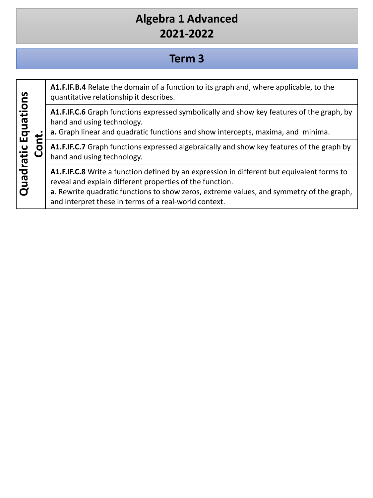## **Term 3**

| Equations |  | A1.F.IF.B.4 Relate the domain of a function to its graph and, where applicable, to the<br>quantitative relationship it describes.                                                                                                                                                                           |
|-----------|--|-------------------------------------------------------------------------------------------------------------------------------------------------------------------------------------------------------------------------------------------------------------------------------------------------------------|
|           |  | A1.F.IF.C.6 Graph functions expressed symbolically and show key features of the graph, by<br>hand and using technology.<br>a. Graph linear and quadratic functions and show intercepts, maxima, and minima.                                                                                                 |
|           |  | A1.F.IF.C.7 Graph functions expressed algebraically and show key features of the graph by<br>hand and using technology.                                                                                                                                                                                     |
| Quadratic |  | A1.F.IF.C.8 Write a function defined by an expression in different but equivalent forms to<br>reveal and explain different properties of the function.<br>a. Rewrite quadratic functions to show zeros, extreme values, and symmetry of the graph,<br>and interpret these in terms of a real-world context. |
|           |  |                                                                                                                                                                                                                                                                                                             |